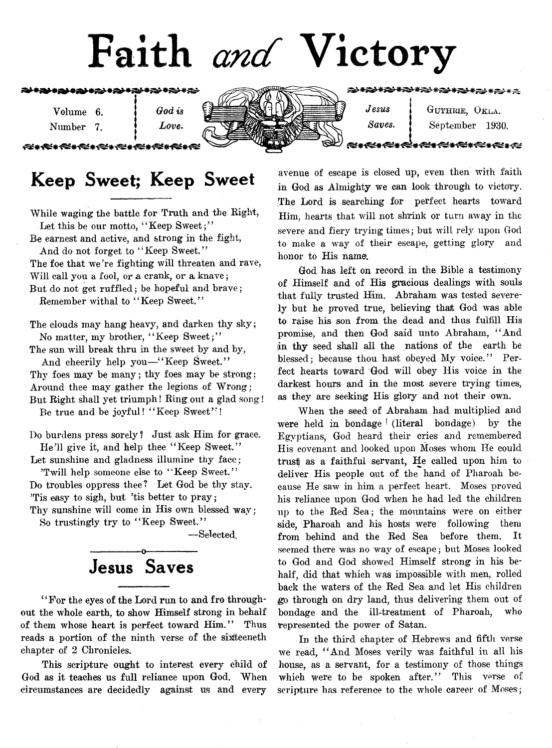

Volume 6. ] *God is* Number 7. *Love.* 

⋘≪⋇⋘⋇⋘⋇⋘∊⋘

## Keep Sweet; Keep Sweet

While waging the battle for Truth and the Right, Let this be our motto, "Keep Sweet;"

Be earnest and active, and strong in the fight, And do not forget to " Keep Sweet."

The foe that we're fighting will threaten and rave, Will call you a fool, or a crank, or a knave; But do not get ruffled; be hopeful and brave;

Remember withal to "Keep Sweet."

The clouds may hang heavy, and darken thy sky; No matter, my brother, " Keep Sweet;"

The sun will break thru in the sweet by and by, And cheerily help you—"Keep Sweet."

Thy foes may be many; thy foes may be strong: Around thee may gather the legions of Wrong; But Right shall yet triumph! Ring out a glad song!

Be true and be joyful! " Keep Sweet" !

Do burdens press sorely? Just ask Him for grace. He'll give it, and help thee "Keep Sweet."

Let sunshine and gladness illumine thy face;

'Twill help someone else to " Keep Sweet." Do troubles oppress thee ? Let God be thy stay. 'Tis easy to sigh, but 'tis better to pray; Thy sunshine will come in His own blessed way;

So trustingly try to " Keep Sweet."

— Selected.

## ---------------- o------------ — Jesus Saves

\*4 For the eyes of the Lord run to and fro throughout the whole earth, to show Himself strong in behalf of them whose heart is perfect toward Him." Thus reads a portion of the ninth verse of the sixiteeneth chapter of 2 Chronicles.

This scripture ought to interest every child of God as it teaches us full reliance upon God. When circumstances are decidedly against us and every

*Jesus* | GUTHRIE, OKLA. *Saves*. j September 1930;

avenue of escape is closed up, even then with faith in God as Almighty we can look through to victory. The Lord is searching for perfect hearts toward Him, hearts that will not shrink or turn away in the severe and fiery trying times; but will rely upon God to make a way of their escape, getting glory and honor to His name.

God has left on record in the Bible a testimony of Himself and of His gracious dealings with souls that fully trusted Him. Abraham was tested severely but he proved true, believing that God was able to raise his son from the dead and thus fulfill His promise, and then God said unto Abraham, " And in thy seed shall all the nations of the earth be blessed; because thou hast obeyed My voice." Perfect hearts toward God will obey His voice in the darkest hours and in the most severe trying times, as they are seeking His glory and not their own.

When the seed of Abraham had multiplied and were held in bondage ! (literal bondage) by the Egyptians, God heard their cries and remembered His covenant and looked upon Moses whom He could trust) as a faithful servant, He called upon him to deliver His people out of the hand of Pharoah because He saw in him a perfect heart. Moses proved his reliance upon God when he had led the children up to the Red Sea; the mountains were on either side, Pharoah and his hosts were following them from behind and the Red Sea before them. It seemed there was no way of escape; but Moses looked to God and God showed Himself strong in his behalf, did that which was impossible with men, rolled back the waters of the Red Sea and let His children jgo through on dry land, thus delivering them out of bondage and the ill-treatment of Pharoah, who represented the power of Satan.

In the third chapter of Hebrews and fifth verse we read, " And Moses verily was faithful in all his house, as a servant, for a testimony of those things which were to be spoken after." This verse of scripture has reference to the whole career of Moses;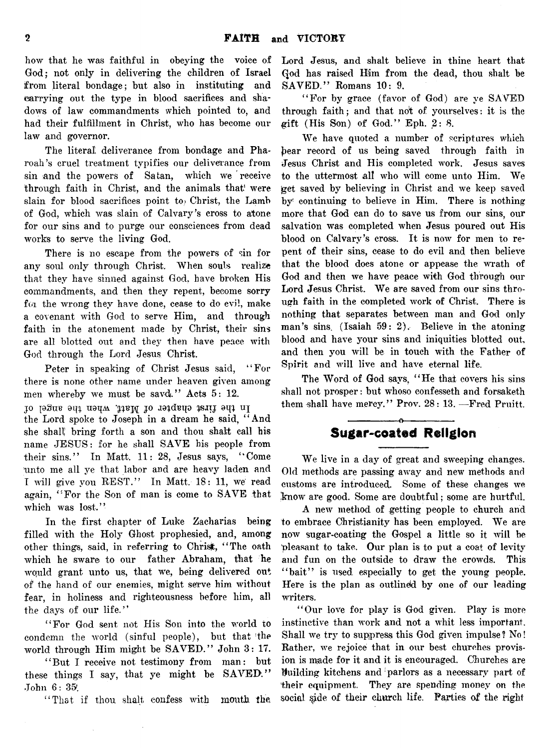how that he was faithful in obeying the voice of God; not only in delivering the children of Israel from literal bondage; but also in instituting and carrying out the type in blood sacrifices and shadows of law commandments which pointed to, and had their fulfillment in Christ, who has become our law and governor.

The literal deliverance from bondage and Pharoah's cruel treatment typifies our deliverance from sin and the powers of Satan, which we receive through faith in Christ, and the animals that were slain for blood sacrifices point to Christ, the Lamb of God, which was slain of Calvary's cross to atone for our sins and to purge our consciences from dead works to serve the living God.

There is no escape from the powers of sin for any soul only through Christ. When souls realize that they have sinned against God, have broken His commandments, and then they repent, become sorry for the wrong they have done, cease to do evi!, make a covenant with God to serve Him, and through faith in the atonement made by Christ, their sins are all blotted out and *they* then have peace with God through the Lord Jesus Christ.

Peter in speaking of Christ Jesus said, " For there is none other name under heaven given among men whereby we must be savd." Acts 5: 12.

lo legas eda de no de Matt, when the angel of the Lord spoke to Joseph in a dream he said, " And she shall bring forth a son and thou shalt call his name JESUS: for he shall SAVE his people from their sins." In Matt. 11: 28, Jesus says, " Come 'unto me all ye that labor and are heavy laden and I will give you REST." In Matt. 18: 11, we read again, " For the Son of man is come to SAVE that which was lost."

In the first chapter of Luke Zacharias being filled with the Holy Ghost prophesied, and, among other things, said, in referring to Christ, "The oath which he sware to our father Abraham, that he would grant unto us, that we, being delivered out of the hand of our enemies, might serve him without fear, in holiness and righteousness before him, all the days of our life."

" For God sent not His Son into the world to condemn the world (sinful people), but that 'the world through Him might be SAVED." John 3: 17.

" But I receive not testimony from man: but these things I say, that ye might be SAVED." John 6: 35^

" That if thou shall confess with mouth the

Lord Jesus, and shalt believe in thine heart that Qod has raised Him from the dead, thou shalt be SAVED." Romans 10: 9.

" For by grace (favor of God) are ye SAVED through faith; and that not of yourselves: it is the gift (His Son) of God." Eph. 2: 8.

We have quoted a number of scriptures which })ear record of us being saved through faith in Jesus Christ and His completed work. Jesus saves to the uttermost alt who will come unto Him. We jget saved by believing in Christ and we keep saved by continuing to believe in Him. There is nothing more that God can do to save us from our sins, our salvation was completed when Jesus poured out His blood on Calvary's cross. It is now for men to repent of their sins, cease to do evil and then believe that the blood does atone or appease the wrath of God and then we have peace with God through our Lord Jesus Christ. We are saved from our sins through faith in the completed work of Christ. There is nothing that separates between man and God only man's sins. (Isaiah 59: 2). Believe in the atoning blood and have your sins and iniquities blotted out, and then you will be in touch with the Father of Spirit and will live and have eternal life.

The Word of God says, "He that covers his sins shall not prosper: but whoso confesseth and forsaketh them shall have mercy." Prov. 28: 13. —Fred Pruitt.

#### ---------------- o---------------- Sugar-coated Religion

We live in a day of great and sweeping changes. Old methods are passing away and new methods and customs are introduced,. Some of these changes we know are good. Some are doubtful; some are hurtful.

A new method of getting people to church and to embrace Christianity has been employed. We are now sugar-coating the Gospel a little so it will be pleasant to take. Our plan is to put a coat of levity and fun on the outside to draw the crowds. This "bait" is used especially to get the young people. Here is the plan as outlined by one of our leading writers.

" Our love for play is God given. Play is more instinctive than work and not a whit less important. Shall we try to suppress this God given impulse? No! Rather, we rejoice that in our best churches provision is made for it and it is encouraged. Churches are Huilding kitchens and ! parlors as a necessary part of their equipment. They are spending money on the social side of their church life. Parties of the right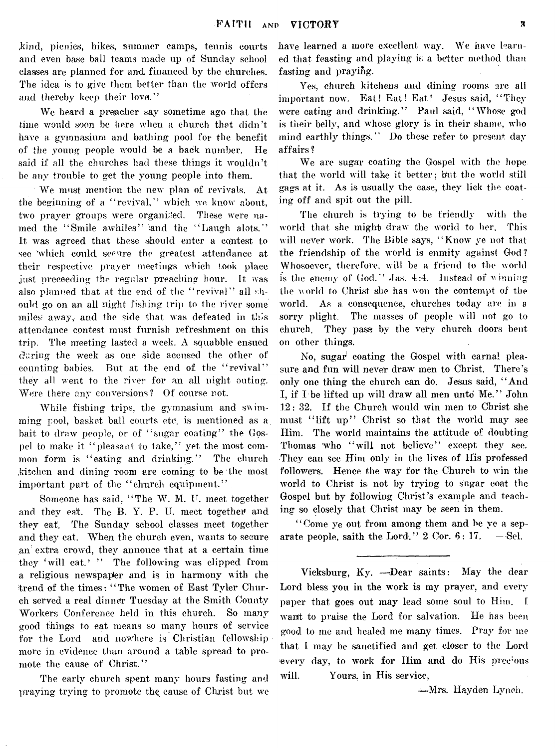.kind, picnics, hikes, summer camps, tennis courts and even base ball teams made up of Sunday school classes are planned for and financed by the churches. The idea is to give them better than the world offers and thereby keep their love."

We heard a preacher say sometime ago that the time would soon be here when a church that didn't have a gymnasium and bathing pool for the benefit of the young people would be a back number. He said if all the churches had these things it wouldn't be any trouble to get the young people into them.

We must mention the new plan of revivals. At the beginning of a " revival," which we know about, two prayer groups were organised. These were named the "Smile awhiles" and the "Laugh alots." It was agreed that these should enter a contest to see 'which could secure the greatest attendance at their respective prayer meetings which took place just preceeding the regular preaching hour. It was also planned that at the end of the " revival" all should go on an all night fishing trip to the river some miles away, and the side that was defeated in this attendance contest must furnish refreshment on this trip. The meeting lasted a week. A squabble ensued during the week as one side accused the other of counting babies. But at the end of the "revival" they all went to the river for an all night outing. Were there any conversions? Of course not.

While fishing trips, the gymnasium and swimming pool, basket ball courts etc. is mentioned as a bait to draw people, or of "sugar coating" the Gospel to make it " pleasant to take," yet the most common form is "eating and drinking." The church .kitchen and dining room are coming to be the most important part of the "church equipment."

Someone has said, " The W. M. U. meet together and they eat. The B. Y. P. U. meet together and they eat. The Sunday school classes meet together and they eat. When the church even, wants to secure an extra crowd, they annouce that at a certain time they 'will eat.' " The following was clipped from a religious newspaper and is in harmony with the trend of the times: "The women of East Tyler Church served a real dinner Tuesday at the Smith County Workers Conference held in this church. So many good things to eat means so many hours of service for the Lord and nowhere is Christian fellowship more in evidence than around a table spread to promote the cause of Christ."

The early church spent many hours fasting and praying trying to promote th^ cause of Christ but we have learned a more excellent way. We have learned that feasting and playing is a better method than fasting and praying.

Yes, church kitchens and dining rooms are all important now. Eat! Eat! Eat! Jesus said, "They *were* eating and drinking." Paul said, " Whose god is their belly, and whose glory is in their shame, who mind earthly things." Do these refer to present day affairs ?

We are sugar coating the Gospel with the hope that the world will take it better; but the world still gags at it. As is usually the case, they lick the coating off and spit out the pill.

The church is trying to be friendly with the world that she might draw the world to her. This will never work. The Bible says, " Know ye not that the friendship of the world is enmity against God ? Whosoever, therefore, will be a friend to the world is the enemy of God." Jas. 4:4. Instead of winning the world to Christ she has won the contempt of the world. As a consequence, churches today are in a sorry plight. The masses of people will not go to church. They pass by the very church doors bent on other things.

No, sugar coating the Gospel with carnal pleasure and fun will never draw men to Christ. There's only one thing the church can do. Jesus said, " And I, if I be lifted up will draw all men unto Me." John 12: 32. If the Church would win men to Christ she must "lift up" Christ so that the world may see Him. The world maintains the attitude of doubting Thomas who "will not believe" except they see. They can see Him only in the lives of His professed followers. Hence the way for the Church to win the world to Christ is not by trying to sugar coat the Gospel but by following Christ's example and teaching so closely that Christ may be seen in them.

' ' Come ye out from among them and be ye a separate people, saith the Lord."  $2 \text{ Cor. } 6:17.$  -Sel.

Vicksburg, Ky. —Dear saints: May the dear Lord bless you in the work is my prayer, and every paper that goes out may lead some soul to Him. I want to praise the Lord for salvation. He has been good to me and healed me many times. Pray for me that I may be sanctified and get closer to the Lord every day, to work for Him and do His precious will. Yours, in His service,

Mrs. Hayden Lynch.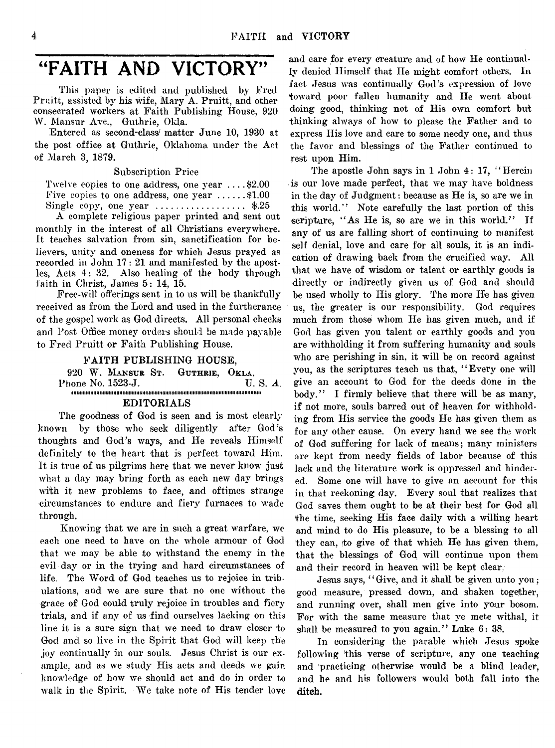# "FAITH AND VICTORY"

This paper is edited and published by Fred Pruitt, assisted by his wife, Mary A. Pruitt, and other consecrated workers at Faith Publishing House, 920 W. Mansur Ave., Guthrie, Okla.

Entered as second-class/' matter June 10, 1930 at the post office at Guthrie, Oklahoma under the Act of March 3, 1879.

Subscription Price

Twelve copies to one address, one year .... \$2.00 Five copies to one address, one year  $\dots$ ......\$1.00 Single copy, one year .................................. \$.25

A complete religious paper printed and sent out monthly in the interest of all Christians everywhere. It teaches salvation from sin, sanctification for believers, unity and oneness for which Jesus prayed as recorded in John 17: 21 and manifested by the apostles, Acts 4: 32. Also healing of the body through faith in Christ, James 5: 14, 15.

Free-will offerings sent in to us will be thankfully received as from the Lord and used in the furtherance of the gospel work as God directs. All personal checks and Post Office money orders should be made payable to Fred Pruitt or Faith Publishing House.

FAITH PUBLISHING HOUSE,

920 W. MANSUR ST. GUTHRIE, OKLA.<br>hone No. 1523-J. U. S. A. Phone No. 1523-J. iiiiiiiiiiiiiiH iiiiiiiiiiiiiH iiiiiiiiiiiii iiii iiiii iiii iiiii iiii tiii iiiii iiii iiiii m m ii im iii iiii tiii iiiii iiii u iiiii ii

#### EDITORIALS

The goodness of God is seen and is most clearly known by those who seek diligently after God's thoughts and God's ways, and He reveals Himself definitely to the heart that is perfect toward Him, It is true of us pilgrims here that we never know just what a day may bring forth as each new day brings with it new problems to face, and oftimes strange -circumstances to endure and fiery furnaces to wade through.

Knowing that we are in such a great warfare, we each one need to have on the whole armour of God that we may be able to withstand the enemy in the evil day or in the trying and hard circumstances of life. The Word of God teaches us to rejoice in tribulations, and we are sure that no one without the grace of God could truly rejoice in troubles and fiery trials, and if any of us find ourselves lacking on this line it is a sure sign that we need to draw closer to God and so live in the Spirit that God will keep the joy continually in our souls. Jesus Christ is our example, and as we study His acts and deeds we gain knowledge of how we should act and do in order to walk in the Spirit. We take note of His tender love

and care for every creature and of how He continually denied Himself that He might comfort others. In fact Jesus was continually God's expression of love toward poor fallen humanity and He went about doing good, thinking not of His own comfort but thinking always of how to please the Father and to express His love and care to some needy one, and thus the favor and blessings of the Father continued to rest upon Him.

The apostle John says in 1 John 4: 17, "Herein is our love made perfect, that we may have boldness in the day of Judgment: because as He is, so are we in this world." Note carefully the last portion of this scripture, "As He is, so are we in this world." If any of us are falling short of continuing to manifest self denial, love and care for all souls, it is an indication of drawing back from the crucified way. All that we have of wisdom or talent or earthly goods is directly or indirectly given us of God and should be used wholly to His glory. The more He has given us, the greater is our responsibility. God requires much from those whom He has given much, and if God has given you talent or earthly goods and you are withholding it from suffering humanity and souls who are perishing in sin, it will be on record against you, as the scriptures teach us that, " Every one will give an account to God for the deeds done in the body." I firmly believe that there will be as many, if not more, souls barred out of heaven for withholding from His service the goods He has given them as for any other cause. On every hand we see the work of God suffering for lack of means; many ministers are kept from needy fields of labor because of this lack and the literature work is oppressed and hindered. Some one will have to give an account for this in that reckoning day. Every soul that realizes that God saves them ought to be at their best for God all the time, seeking His face daily with a willing heart and mind to do His pleasure, to be a blessing to all they can, to give of that which He has given them, that the blessings of God will continue upon them and their record in heaven will be kept clear.

Jesus says, "Give, and it shall be given unto you; good measure, pressed down, and shaken together, and running over, shall men give into your bosom. For with the same measure that ye mete withal, it shall be measured to you again." Luke  $6: 38$ .

In considering the parable which Jesus spoke following this verse of scripture, any one teaching and practicing otherwise would be a blind leader, and he and his followers would both fall into the ditch.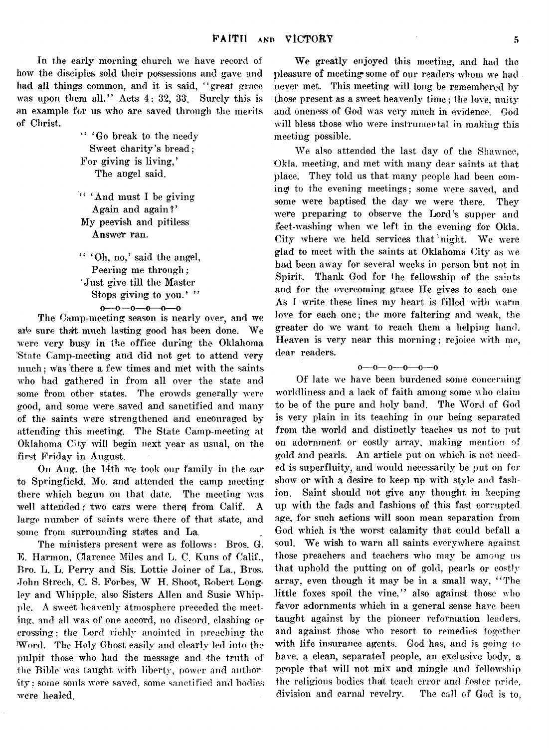In the early morning church we have record of how the disciples sold their possessions and gave and had all things common, and it is said, "great grace was upon them all." Acts 4: 32, 33. Surely this is an example for us who are saved through the merits of Christ.

> " 'Go break to the needy Sweet charity's bread; For giving is living,' The angel said.

" 'And must I be giving Again and again?' My peevish and pitiless Answer ran.

" 'Oh, no,' said the angel, Peering me through; ' Just give till the Master Stops giving to you.' "  $0-0-0-0-0$ 

The Camp-meeting season is nearly over, and we ate sure that much lasting good has been done. We were very busy in the office during the Oklahoma 'State Camp-meeting and did not get to attend very much; was there a few times and met with the saints who had gathered in from all over the state and some from other states. The crowds generally were good, and some were saved and sanctified and many of the saints were strengthened and encouraged by attending this meeting. The State Camp-meeting at Oklahoma City will begin next year as usual, on the first Friday in August.

On Aug. the 14th we took our family in the car to Springfield, Mo. and attended the camp meeting there which begun on that date. The meeting was well attended; two cars were there from Calif. A large number of saints were there of that state, and some from surrounding states and La.

The ministers present were as follows: Bros. G. E. Harmon, Clarence Miles and L. C. Kuns of Calif., Bro. L. L. Perry and Sis. Lottie Joiner of La., Bros. John Strech, C. S. Forbes, W H. Shoot, Robert Longley and Whipple, also Sisters Allen and Susie Whipple. A sweet heavenly atmosphere preceded the meeting, and all was of one accord, no discord, clashing or crossing; the Lord richly anointed in preaching the Word. The Holy Ghost easily and clearly led into the pulpit those who had the message and the truth of the Bible was taught with liberty, power and author ity; some souls were saved, some sanctified and bodies were healed.

We greatly enjoyed this meeting, and had the pleasure of meeting\* some of our readers whom *we* had never met. This meeting will long be remembered by those present as a sweet heavenly time; the love, unity and oneness of God was very much in evidence. God will bless those who were instrumental in making this meeting possible.

**We also attended the last day of the Shawnee, Okla, meeting, and met with many dear saints at that place. They told us that many people had been coming to the evening meetings; some were saved, and** some were baptised the day we were there. They were preparing to observe the Lord's supper and feet-washing when we left in the evening for Okla. City where we held services that night. We were glad to meet with the saints at Oklahoma City as we **had been away for several weeks in person but not in** Spirit. Thank God for the fellowship of the saints and for the overcoming grace He gives to each one As I write these lines my heart is filled with warm love for each one; the more faltering and weak, the greater do we want to reach them a helping hand. Heaven is very near this morning; rejoice with me, **dear readers.**

o—o— o—o—o—o

**Of late** *we* **have been burdened some concerning Avorldliness and a lack of faith among some who claim to be of the pure and holy band. The Word of God is very plain in its teaching in our being separated from the world and distinctly teaches us not to put on adornment or costly array, making mention of gold and pearls. An article put on which is not need**ed is superfluity, and would necessarily be put on for show or with a desire to keep up with style and fash**ion. Saint should not give any thought in keeping up writh the fads and fashions of this fast corrupted** age, for such actions will soon mean separation from God which is the worst calamity that could befall a soul. We wish to warn all saints everywhere against **those preachers and teachers avIio may be among us that uphold the putting on of gold, pearls or costly** array, even though it may be in a small way, "The little foxes spoil the vine," also against those who favor adornments which in a general sense have been **taught against by the pioneer reformation leaders,** and against those who resort to remedies together **with life insurance agents. God has, and is going to** have, a clean, separated people, an exclusive body, a people that will not mix and mingle and fellowship **the religious bodies thait teach error and foster pride,** division and carnal revelry. The call of God is to,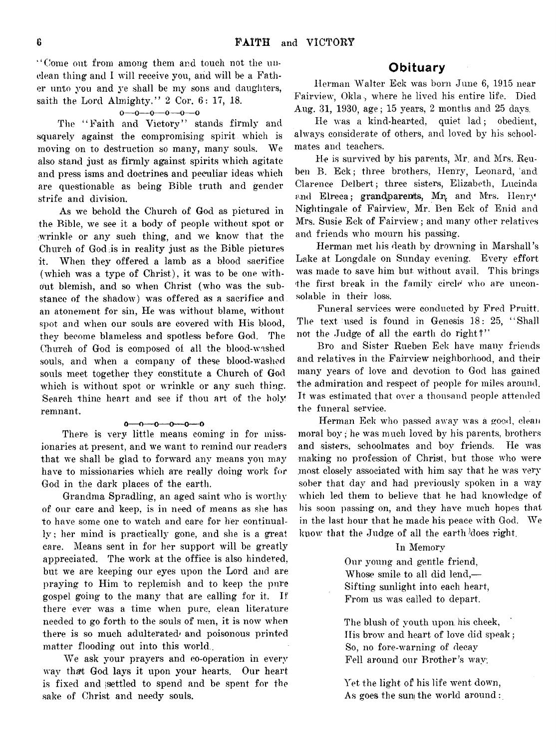" Come out from among them and touch not the unclean thing and I will receive you, and will be a Father unto you and ye shall be my sons and daughters, saith the Lord Almighty, " *2* Cor. 6: 17, 18.

#### $0 - 0 - 0 - 0 - 0 - 0$

The "Faith and Victory" stands firmly and squarely against the compromising spirit which is moving on to destruction so many, many souls. We also stand just as firmly against spirits which agitate and press isms and doctrines and peculiar ideas which are questionable as being Bible truth and gender strife and division.

As we behold the Church of God as pictured in the Bible, we see it a body of people without spot or wrinkle or any such thing, and we know that the Church of God is in reality just as the Bible pictures it. When they offered a lamb as a blood sacrifice (which was a type of Christ), it was to be one without. blemish, and so when Christ (who was the substance of the shadow) was offered as a sacrifice and an atonement for sin, He was without blame, without spot and when our souls are covered with His blood, they become blameless and spotless before God. The Church of God is composed of all the blood-washed souls, and when a company of these blood-washed souls meet together they constitute a Church of God which is without spot or wrinkle or any such thing. Search thine heart and see if thou art of the holy remnant.

#### o— o— o---O---0— o

There is very little means coming in for missionaries at present, and we want to remind our readers that we shall be glad to forward any means you may have to missionaries which are really doing work for God in the dark places of the earth.

Grandma Spradling, an aged saint who is worthy of our care and keep, is in need of means as she has to have some one to watch and care for her continually ; her mind is practically gone, and she is a great care. Means sent in for her support will be greatly appreciated. The work at the office is also hindered, but we are keeping our eyes upon the Lord and are praying to Him to replemish and to keep the pure gospel going to the many that are calling for it, If there ever was a time when pure, clean literature needed to go forth to the souls of men, it is now when there is so much adulterated and poisonous printed matter flooding out into this world..

We ask your prayers and co-operation in every wav thart God lays it upon your hearts. Our heart is fixed and jsettled to spend and be spent for the sake of Christ and needy souls.

#### Obituary

Herman Walter Eck was born June 6, 1915 near Fairview, Okla, where he lived his entire life. Died Aug. 31, 1930, age; 15 years, 2 months and 25 days.

**lie was a kind-hearted, quiet lad ; obedient, always considerate of others, and loved by his schoolmates and teachers.**

He is survived by his parents, Mr. and Mrs. Reuben B. Eck; three brothers, Henry, Leonard, and Clarence Delbert ; three sisters, Elizabeth, Lucinda and Elreca; grandparents, Mr, and Mrs. Henry Nightingale of Fairview, Mr. Ben Eck of Enid and Mrs. Susie Eck of Fairview ; and many other relatives and friends who mourn his passing.

Herman met his death by drowning in Marshall's Lake at Longdale on Sunday evening. Every effort was made to save him but without avail. This brings the first break in the family circle who are unconsolable in their loss.

Funeral services were conducted by Fred Pruitt. The text used is found in Genesis 18: 25, " Shall not the Judge of all the earth do right?"

Bro and Sister Rueben Eck have many friends and relatives in the Fairview neighborhood, and their many years of love and devotion to God has gained the admiration and respect of people for miles around. It was estimated that over a thousand people attended the funeral service.

**Herman Eck who passed away was a good, clean moral boy • he was much loved by his parents, brothers and sisters, schoolmates and boy friends. He was** making no profession of Christ, but those who were most closely associated with him say that he was very sober that day and had previously spoken in a way **which led them to believe that he had knowledge of his soon passing on, and they have much hopes that** in the last hour that he made his peace with God. We know that the Judge of all the earth does right.

#### In Memory

Our young and gentle friend, Whose smile to all did lend,— Sifting sunlight into each heart, From us was called to depart.

The blush of youth upon his cheek, His brow and heart of love did speak; So, no fore-warning of decay Fell around our Brother's wav:

Yet the light of his life went down, As goes the sun the world around: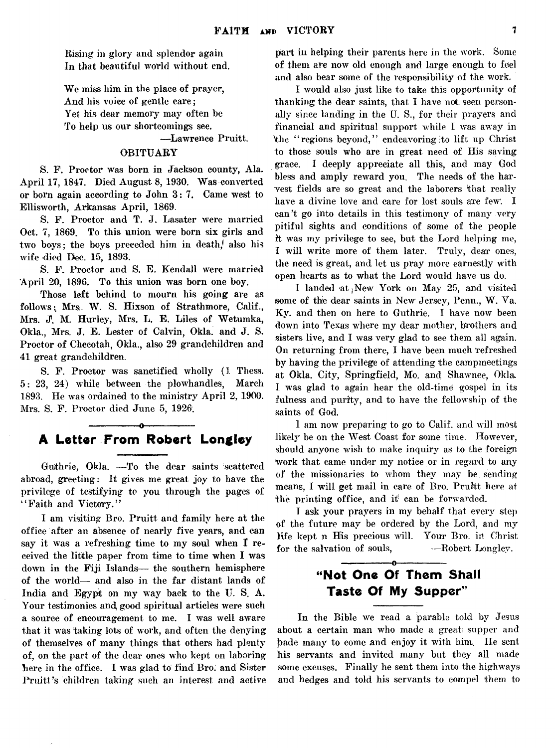Rising in glory and splendor again In that beautiful world without end.

We miss him in the place of prayer, And his voice of gentle care; Yet his dear memory may often be To help us our shortcomings see.

— Lawrence Pruitt.

#### OBITUARY

S. F. Proctor was born in Jackson county, Ala. April 17, 1847. Died August 8, 1930. Was converted or born again according to John 3: 7. Came west to Ellisworth, Arkansas April, 1869.

S. F. Proctor and T. J. Lasater were married Oct. 7, 1869. To this union were born six girls and two boys; the boys preceded him in death/ also his wife died Dec. 15, 1893.

S. F. Proctor and S. E. Kendall were married April 20, 1896. To this union was born one boy.

Those left behind to mourn his going are as follows: Mrs. W. S. Hixson of Strathmore, Calif., Mrs. J. M. Hurley, Mrs. L. E. Liles of Wetumka, Okla., Mrs. J. E. Lester of Calvin, Okla. and J. S. Proctor of Cheeotah, Okla., also 29 grandchildren and 41 great grandchildren.

S. F. Proctor was sanctified wholly (1 Thess. 5: 23, 24) while between the plowhandles, March 1893. He was ordained to the ministry April 2, 1900. Mrs. S. F. Proctor died June 5, 1926.

### -----------------o------------ — A Letter From Robert Longley

Guthrie, Okla. — To the dear saints scattered abroad, greeting: It gives me great joy to have the privilege of testifying to you through the pages of " Faith and Victory."

I am visiting Bro. Pruitt and family here at the office after an absence of nearly five years, and can say it was a refreshing time to my soul when  $\mathbf I$  received the little paper from time to time when I was down in the Fiji Islands— the southern hemisphere of the world— and also in the far distant lands of India and Egypt on my way back to the U. S. A. Your testimonies and good spiritual articles were such a source of encouragement to me. I was well aware that it was taking lots of work, and often the denying of themselves of many things that others had plenty of, on the part of the dear ones who kept on laboring here in the office. I was glad to find Bro. and Sister Pruitt's children taking such an interest and active part in helping their parents here in the work. Some of them are now old enough and large enough to feel and also bear some of the responsibility of the work.

I would also just like to take this opportunity of thanking the dear saints, that I have not seen personally since landing in the U. S., for their prayers and financial and spiritual support while I was away in the "regions beyond," endeavoring to lift up Christ to those souls who are in great need of His saving grace. I deeply appreciate all this, and may God bless and amply reward you. The needs of the harvest fields are so great and the laborers that really have a divine love and care for lost souls are few. I can't go into details in this testimony of many very pitiful sights and conditions of some of the people it was my privilege to see, but the Lord helping me, I will write more of them later. Truly, dear ones, the need is great, and let us pray more earnestly with open hearts as to what the Lord would have us do.

I landed at New York on May 25, and visited some of the dear saints in New Jersey, Penn., W. Va. Ky. and then on here to Guthrie. I have now been down into Texas where my dear mother, brothers and sisters live, and I was very glad to see them all again. On returning from there, I have been much refreshed by having the privilege of attending the campmeetings at Okla. City, Springfield, Mo. and Shawnee, Okla. I was glad to again hear the old-time gospel in its fulness and purity, and to have the fellowship of the saints of God.

I am now preparing to go to Calif, and will most likely be on the West Coast for some time. However, should anyone wish to make inquiry as to the foreign work that came under my notice or in regard to any of the missionaries to whom they may be sending means, I will get mail in care of Bro. Pruitt here at the printing office, and it' can be forwarded.

T ask your prayers in my behalf that every step of the future may be ordered by the Lord, and my life kept n His precious will. Your Bro. in Christ for the salvation of souls,  $-$ Robert Longley.

### -----------------o---------------- "Not One Of Them Shall Taste Of My Supper"

In the Bible we read a parable told by Jesus about a certain man who made a greati supper and bade many to come and enjoy it with him. He sent his servants and invited many but they all made some excuses. Finally he sent them into the highways and hedges and told his servants to compel them to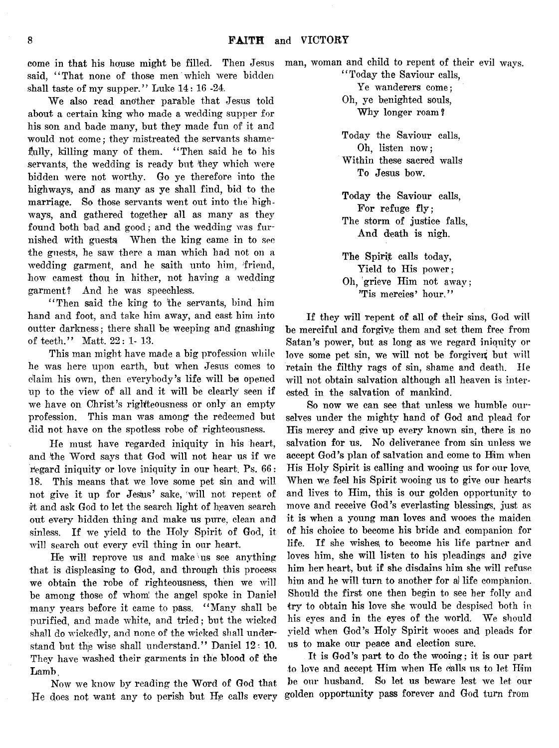come in that his house might be filled. said, "That none of those men which were bidden shall taste of my supper." Luke  $14:16$  -24.

We also read another parable that Jesus told about a certain king who made a wedding supper for his son and bade many, but they made fun of it and would not come; they mistreated the servants shamefully, killing many of them. "Then said he to his servants, the wedding is ready but they which were bidden were not worthy. Go ye therefore into the highways, and as many as ye shall find, bid to the marriage. So those servants went out into the highways, and gathered together all as many as they found both bad and good; and the wedding was furnished with guests When the king came in to see the guests, he saw there a man which had not on a wedding garment, and he saith unto him, friend, how camest thou in hither, not having a wedding garment? And he was speechless.

" Then said the king to the servants, bind him hand and foot, and take him away, and cast him into outter darkness; there shall be weeping and gnashing of teeth." Matt. 22: 1-13.

This man might have made a big profession while he was here upon earth, but when Jesus comes to claim his own, then everybody's life will be opened up to the view of all and it will be clearly seen if we have on Christ's righteousness or only an empty profession. This man was among the redeemed but did not have on the spotless robe of righteousness.

He must have regarded iniquity in his heart, and the Word says that God will not hear us if we regard iniquity or love iniquity in our heart. Ps. 66: 18. This means that we love some pet sin and will not give it up for Jesius' sake, will not repent of it and ask God to let the search light of heaven search out every hidden thing and make us pure, clean and sinless. If we yield to the Holy Spirit of God, it will search out every evil thing in our heart.

He will reprove us and make us see anything that is displeasing to God, and through this process we obtain the robe of righteousness, then we will be among those of whom! the angel spoke in Daniel many years before it came to pass. " Many shall be purified, and made white, and tried; but the wicked shall do wickedly, and none of the wicked shall understand but the wise shall understand." Daniel 12: 10. They have washed their garments in the blood of the Lamb.

Now we know by reading the Word of God that He does not want any to perish but He calls every

Then Jesus man, woman and child to repent of their evil ways.

"Today the Saviour calls, Ye wanderers come; Oh, ye benighted souls, Why longer roam?

Today the Saviour calls, Oh, listen now; Within these sacred walls To Jesus bow.

Today the Saviour calls, For refuge fly; The storm of justice falls, And death is nigh.

The Spirit calls today, Yield to His power; Oh, grieve Him not away: 'Tis mercies' hour. "

If they will repent of all of their sins, God will be merciful and forgive them and set them free from Satan's power, but as long as we regard iniquity or love some pet sin, we will not be forgiven; but will retain the filthy rags of sin, shame and death. He will not obtain salvation although all heaven is interested in the salvation of mankind.

So now we can see that unless we humble ourselves under the mighty hand of God and plead for His mercy and give up every known sin, there is no salvation for us. No deliverance from sin unless we accept God's plan of salvation and come to Him when His Holy Spirit is calling and wooing us for our love. When we feel his Spirit wooing us to give our hearts and lives to Him, this is our golden opportunity to move and receive God's everlasting blessings, just as it is when a young man loves and wooes the maiden of his choice to become his bride and companion for life. If she wishes to become his life partner and loves him, she will listen to his pleadings and give him her heart, but if she disdains him she will refuse him and he will turn to another for al life companion. Should the first one then begin to see her folly and try to obtain his love she would be despised both in his eyes and in the eyes of the world. We should yield when God's Holy Spirit wooes and pleads for us to make our peace and election sure.

It is God's part to do the wooing; it is our part to love and accept Him when He calls us to let Him be our husband. So let us beware lest we let our golden opportunity pass forever and God turn from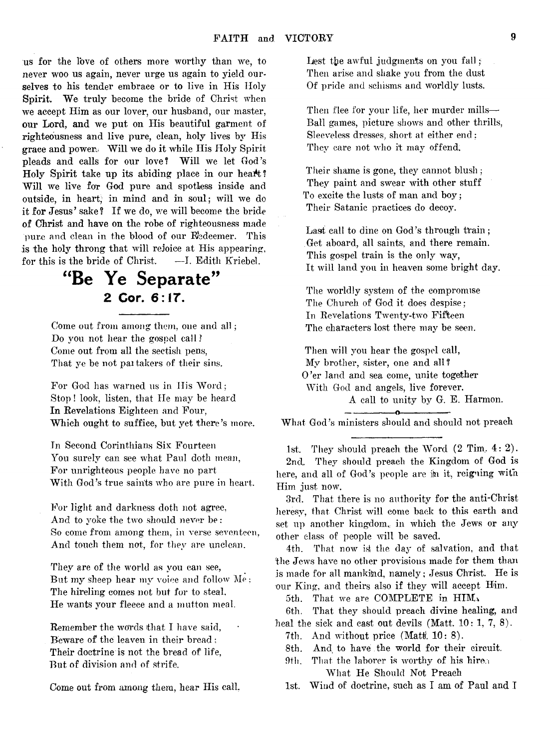us for the love of others more worthy than we, to never woo us again, never urge us again to yield ourselves to his tender embrace or to live in His Holy Spirit. We truly become the bride of Christ when we accept Him as our lover, our husband, our master, our Lord, and we put on His beautiful garment of righteousness and live pure, clean, holy lives by His grace and power. Will we do it while His Holy Spirit pleads and calls for our love? Will we let God's Holy Spirit take up its abiding place in our heat!? Will we live for God pure and spotless inside and outside, in heart, in mind and in soul; will we do it for Jesus' sake ? If we do, we will become the bride of Christ and have on the robe of righteousness made pure and clean in the blood of our Redeemer. This is the holy throng that will rejoice at His appearing, for this is the bride of Christ. —I. Edith Kriebel.

## "Be Ye Separate" 2 Cor. 6:17.

Come out from among them, one and all; Do you not hear the gospel call? Come out from all the sectish pens, That ye be not pai takers of their sins.

For God has warned us in His Word; Stop! look, listen, that He may be heard In Revelations Eighteen and Four, Which ought to suffice, but yet there's more.

In Second Corinthians Six Fourteen You surely can see what Paul doth mean, For unrighteous people have no part With God's true saints who are pure in heart.

For light and darkness doth not agree, And to yoke the two should never be: So come from among them, in verse seventeen, And touch them not, for they are unclean.

They are of the world as you can see, But my sheep hear my voice and follow Me: The hireling comes not but for to steal, He wants your fleece and a mutton meal.

Remember the words that I have said. Beware of the leaven in their bread ; Their doctrine is not the bread of life, But of division and of strife.

Come out from among them, hear His call,

Lest the awful judgments on you fall; Then arise and shake you from the dust Of pride and schisms and worldly lusts.

Then flee for your life, her murder mills— Ball games, picture shows and other thrills, Sleeveless dresses, short at either end: They care not who it may offend.

Their shame is gone, they cannot blush ; They paint and swear with other stuff To excite the lusts of man and boy; Their Satanic practices do decoy.

Last call to dine on God's through train: Get aboard, all saints, and there remain. This gospel train is the only way. It will land you in heaven some bright day.

The worldly system of the compromise The Church of God it does despise; In Revelations Twenty-two Fifteen The characters lost there may be seen.

Then will you hear the gospel call, My brother, sister, one and all? O'er land and sea come, unite together With God and angels, live forever. A call to unity by G. E. Harmon.

—-------------- o----------------- What God's ministers should and should not preach

1st. They should preach the Word  $(2$  Tim,  $4:2$ ). 2nd. They should preach the Kingdom of God is here, and all of God's people are ih it, reigning with Him just now.

3rd. That there is no authority for the anti-Christ heresy, that Christ will come back to this earth and set up another kingdom, in which the Jews or any other class of people will be saved.

4th. That now is the day of salvation, and that the Jews have no other provisions made for them than is made for all mankind, namely; Jesus Christ. He is our King, and theirs also if they will accept Him.

5th. That we are COMPLETE in HIM.

6th. That they should preach divine healing, and heal the sick and cast out devils (Matt.  $10:1, 7, 8$ ).

7th. And without price (Matt. 10: 8).

- 8th. And to have the world for their circuit.
- 9th. That the laborer is worthy of his hire. What He Should Not Preach

1st. Wind of doctrine, such as I am of Paul and I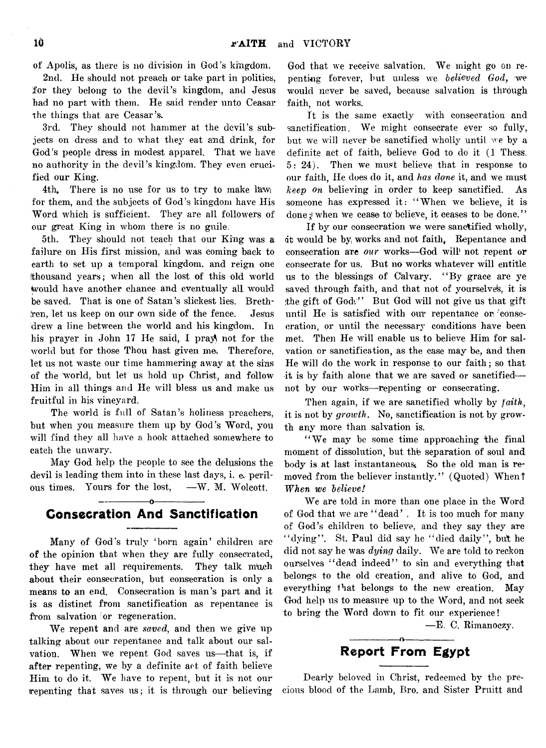of Apolis, as there is no division in God's kingdom.

2nd. He should not preach or take part in politics, for they belong to the devil's kingdom, and Jesus had no part with them. He said render unto Ceasar the things that are Ceasar's.

3rd. They should not hammer at the devil's subjects on dress and to what they eat and drink, for God's people dress in modest apparel. That we have no authority in the devil's kingdom. They even crucified our King.

4th. There is no use for us to try to make law; for them, and the subjects of God's kingdom have His Word which is sufficient. They are all followers of our great King in whom there is no guile

5th. They should not teach that our King was a failure on His first mission, and was coming back to earth to set up a temporal kingdom, and reign one (thousand years; when all the lost of this old world Would have another chance and eventually all would be saved. That is one of Satan's slickest lies. Brethren, let us keep on our own side of the fence. Jesus drew a line between the world and his kingdom. In his prayer in John 17 He said, I pray not for the world but for those Thou hast given me. Therefore, let us not waste our time hammering away at the sins of the world, but let us hold up Christ, and follow Him in all things and He will bless us and make us fruitful in his vineyard.

The world is full of Satan's holiness preachers, but when you measure them up by God's Word, you will find they all have a hook attached somewhere to catch the unwary.

May God help the people to see the delusions the devil is leading them into in these last days, i. & perilous times. Yours for the lost, —W. M. Wolcott,

#### -----------------o----------------- Consecration And Sanctification

Many of God's truly 'born again' children are of the opinion that when they are fully consecrated, they have met all requirements. They talk much about their consecration, but consecration is only a means to an end. Consecration is man's part and it is as distinct from sanctification as repentance is from salvation or regeneration.

We repent and are *saved*, and then we give up talking about our repentance and talk about our salvation. When we repent God saves us— that is, if after repenting, we by a definite act of faith believe Him to do it. We have to repent, but it is not our repenting that saves us; it is through our believing

God that we receive salvation. We might go on repenting forever, but unless we *believed God*, we would never be saved, because salvation is through faith, not works.

It is the same exactly with consecration and sanctification; We might consecrate ever so fully, but we will never be sanctified wholly until we by a definite act of faith, believe God to do it (1 Thess. 5: 24). Then we must believe that in response to our faith, He does do it, and *has done* it, and we must *keep on* believing in order to keep sanctified. As someone has expressed it: " When we believe, it is done; when we cease to believe, it ceases to be done."

If by our consecration we were sanctified wholly, dt would be by works and not faith. Repentance and consecration are *our* works—God will<sup>1</sup> not repent or consecrate for us. But no works whatever will entitle us to the blessings of Calvary. " By grace are ye saved through faith, and that not of yourselves, it is the gift of God." But God will not give us that gift until He is satisfied with our repentance or 'consecration, or until the necessary conditions have been met, Then He will enable us to believe Him for salvation or sanctification, as the ease may be, and then He will do the work in response to our faith; so that it is by faith alone that we are saved or sanctified not by our works— repenting or consecrating.

Then again, if we are sanctified wholly by *faith*, it is not by growth. No, sanctification is not by growth any more than salvation is.

"We may be some time approaching the final moment of dissolution, but the separation of soul and body is at last instantaneous. So the old man is removed from the believer instantly." (Quoted) When? *When we believe!*

We are told in more than one place in the Word of God that we are " dead' . It is too much for many of God's children to believe, and they say they are "dying". St. Paul did say he "died daily", but he did not say he was *dying* daily. We are told to reckon ourselves "dead indeed" to sin and everything that belongs to the old creation, and alive to God, and everything fhat belongs to the new creation. May God help us to measure up to the Word, and not seek to bring the Word down to fit our experience!

—E. C. Rimanoczy.

#### ---------------- o---------------- Report From Egypt

Dearly beloved in Christ, redeemed by the precious blood of the Lamb, Bro. and Sister Pruitt and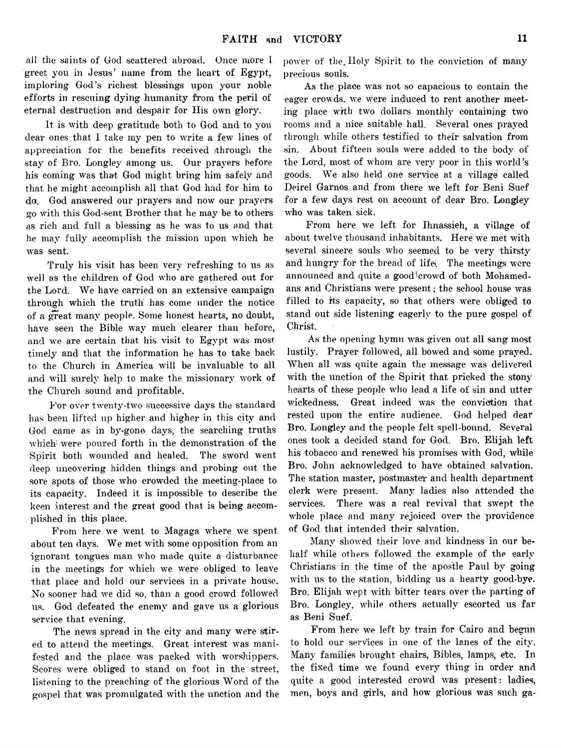ail the saints of God scattered abroad. Once more I greet you in Jesus' name from the heart of Egypt, imploring God's richest blessings upon your noble efforts in rescuing dying humanity from the peril of eternal destruction and despair for His own glory.

It is with deep gratitude both to God and to you dear ones that I take my pen to write a few lines of appreciation for the benefits received through the stay of Bro. Longley among us. Our prayers before his coming was that God might bring him safely and that he might accomplish all that God had for him to da. God answered our prayers and now our prayers go with this God-sent Brother that he may be to others as rich and full a blessing as he was to us and that he may fully accomplish the mission upon which he was sent.

Truly his visit has been very refreshing to us as well as the children of God who are gathered out for the Lord. We have carried on an extensive campaign through which the truth has come under the notice of a great many people. Some honest hearts, no doubt, have seen the Bible way much clearer than before, and we are certain that his visit to Egypt was most timely and that the information he has to take back to the Church in America will be invaluable to all and will surely help to make the missionary work of the Church sound and profitable.

For over twenty-two successive days the standard has been lifted up higher and higher in this city and God came as in by-gone days, the searching truths which were poured forth in the demonstration of the Spirit both wounded and healed. The sword went deep uncovering hidden things and probing out the sore spots of those who crowded the meeting-place to its capacity. Indeed it is impossible to describe the keen interest and the great good that is being accomplished in this place.

From here we went to Magaga where we spent about ten days. We met with some opposition from an ignorant tongues man who made quite a disturbance in the meetings for which we were obliged to leave that place and hold our services in a private house. No sooner had we did so, than a good crowd followed us. God defeated the enemy and gave us a glorious service that evening.

The news spread in the city and many were stired to attend the meetings. Great interest was manifested and the place was packed with worshippers. Scores were obliged to stand on foot in the street, listening to the preaching of the glorious Word of the gospel that was promulgated with the unction and the

power of the\_ Holy Spirit to the conviction of many precious souls.

As the place was not so capacious to contain the eager crowds, we were induced to rent another meeting place with two dollars monthly containing two rooms and a nice suitable hall. Several ones prayed through while others testified to their salvation from sin. About fifteen souls were added to the body of the Lord, most of whom are very poor in this world's goods. We also held one service at a village called Deirel Garnos and from there we left for Beni Suef for a few days rest on account of dear Bro. Longley who was taken sick.

From here we left for Ihnassieh, a village of about twelve thousand inhabitants. Here we met with several sincere souls who seemed to be very thirsty and hungry for the bread of life. The meetings were announced and quite a good $1$  crowd of both Mohamedans and Christians were present; the school house was filled to its capacity, so that others were obliged to stand out side listening eagerly to the pure gospel of Christ.

As the opening hymn was given out all sang most lustily. Prayer followed, all bowed and some prayed. When all was quite again the message was delivered with the unction of the Spirit that pricked the stony hearts of these people who lead a life of sin and utter wickedness. Great indeed was the conviction that rested upon the entire audience. God helped dear Bro. Longley and the people felt spell-bound. Several ones took a decided stand for God. Bro. Elijah left his tobacco and renewed his promises with God, while Bro. John acknowledged to have obtained salvation. The station master, postmaster and health department clerk were present. Many ladies also attended the services. There was a real revival that swept the whole place and many rejoiced over the providence of God that intended their salvation.

Many showed their love and kindness in our behalf while others followed the example of the early Christians in the time of the apostle Paul by going with us to the station, bidding us a hearty good-bye. Bro. Elijah wept with bitter tears over the parting of Bro. Longley, while others actually escorted us far as Beni Suef.

From here we left by train for Cairo and begun to hold our services in one of the lanes of the city. Many families brought chairs, Bibles, lamps, etc. In the fixed time we found every thing in order and quite a good interested crowd was present: ladies, men, boys and girls, and how glorious was such ga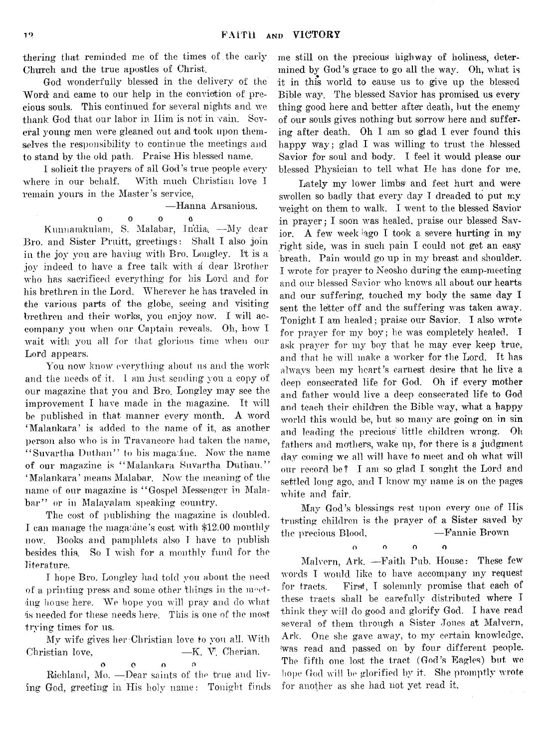thering that reminded me of the times of the early Church and the true apostles of Christ.

God wonderfully blessed in the delivery of the Word and came to our help in the conviction of precious souls. This continued for several nights and we thank God that our labor in Him is not in vain. Several young men were gleaned out and took upon themselves the responsibility to continue the meetings and to stand by the old path. Praise His blessed name.

I solicit the prayers of all God's true people every where in our behalf. With much Christian love I remain yours in the Master's service,

— Hanna Arsanious.

o o o o

Kunnamkulam, S. Malabar, India -My dear Bro. and Sister Pruitt, greetings: Shall I also join in the joy you are having with Bro. Longley. It is a joy indeed to have a free talk with a dear Brother who has sacrificed everything for his Lord and for his brethren in the Lord. Wherever he has traveled in the various parts of the globe, seeing and visiting brethren and their works, you enjoy now. I will accompany you when our Captain reveals. Oh, how I wait with you all for that glorious time when our Lord appears.

You now know everything about us and the work and the needs of it. I am just sending you a copy of our magazine that you and Bro. Longley may see the improvement I have made in the magazine. It will be published in that manner every month. A word ' Malankara' is added to the name of it, as another person also who is in Travancore had taken the name, "Suvartha Duthan" to his magatine. Now the name of our magazine is " Malankara Suvartha Duthan." ' Malankara' means Malabar. Now the meaning of the name of our magazine is "Gospel Messenger in Malabar" or in Malayalam speaking country.

The cost of publishing the magazine is doubled. I can manage the magazine's cost with \$12.00 monthly now. Books and pamphlets also I have to publish besides this. So I wish for a monthly fund for the literature.

I hope Bro. Longley had told you about the need of a printing press and some other things in the meeting house here. We hope you will pray and do what is needed, for these needs here. This is one of the most trying times for us.

My wife gives her-Christian love to you all. With Christian love. — — K. V. Cherian. o o o o

Richland, Mo. — Dear saints of the true and living God, greeting in His holy name: Tonight finds

me still on the precious highway of holiness, determined by God's grace to go all the way. Oh, what is it in this world to cause us to give up the blessed Bible way. The blessed Savior has promised us every thing good here and better after death, but the enemy of our souls gives nothing but sorrow here and suffering after death. Oh I am so glad I ever found this happy way; glad I was willing to trust the blessed Savior for sonl and body. I feel it would please our blessed Physician to tell what He has done for me.

Lately my lower limbs' and feet hurt and were swollen so badly that every day I dreaded to put my weight on them to walk. I went to the blessed Savior in prayer; I soon was healed, praise our blessed Savior. A few week ago I took a severe hurting in my right side, was in such pain I could not get an easy breath. Pain would go up in my breast and shoulder. I wrote for prayer to Neosho during the camp-meeting and our blessed Savior who knows all about our hearts and our suffering, touched my body the same day I sent the letter off and the suffering was taken away. Tonight I am healed; praise our Savior. I also wrote for prayer for my boy; he was completely healed. I ask prayer for my boy that he may ever keep true, and that he will make a worker for the Lord. It has always been my heart's earnest desire that he live a deep consecrated life for God. Oh if every mother and father would live a deep consecrated life to God and teach their children the Bible way, what a happy world this would be, but so many are going on in sin and leading the precious little children wrong. Oh fathers and mothers, wake up, for there is a judgment day coming we all will have to meet and oh what will our record he? I am so glad I sought the Lord and settled long ago, and I know my name is on the pages white and fair.

May God's blessings rest upon every one of His trusting children is the prayer of a Sister saved by the precious Blood, —Fannie Brown

o o o o

Malvern, Ark. — Faith Pub. House: These few words T would like to have accompany my request for tracts. First, I solemnly promise that each of these tracts shall he carefully distributed where I think they will do good and glorify God. I have read several of them through a Sister Jones at Malvern, Ark. One she gave away, to my certain knowledge, was read and passed on by four different people. The fifth one lost the tract (God's Eagles) but we hope God will be glorified by it, She promptly wrote for another as she had not yet read it.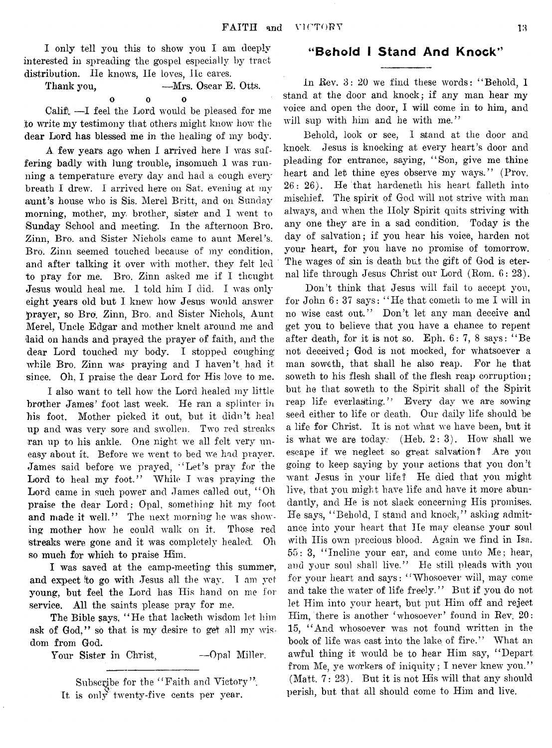I only tell you this to show you I am deeply interested in spreading the gospel especially by tract distribution. He knows, He loves, He cares.

Thank you, — Mrs. Oscar E. Otts.  $\mathbf{o}$ o o o

Calif). —I feel the Lord would be pleased for me to write my testimony that others might know how the dear Lord has blessed me in the **healing** of my body.

A few years ago when I arrived here I was suffering badly with lung trouble, insomuch I was running a temperature every day and had a cough every breath I drew. I arrived here on Sat. evening at my aunt's house who is Sis. Merel Britt, and on Sunday morning, mother, my, brother, sister and I went to Sunday School and meeting. In the afternoon Bro. Zinn, Bro. and Sister Nichols came to aunt Merel's. Bro. Zinn seemed touched because of my condition, and after talking it over with mother, they felt led to pray for me. Bro. Zinn asked me if I thought Jesus would heal me. I told him I did. I was only eight years old but I knew how Jesus would answer ^prayer, so *Bro.* Zinn, Bro. and Sister Nichols, Aunt Merel, Uncle Edgar and mother knelt around me and 'laid on hands and prayed the prayer of faith, and the dear Lord touched my body. I stopped coughing while Bro. Zinn was praying and I haven't had it since. Oh, I praise the dear Lord for His love to me.

I also want to tell how the Lord healed my little brother James' foot last week. He ran a splinter in his foot. Mother picked it out, but it didn't heal up and was very sore and swollen. Two red streaks ran up to his ankle. One night we all. felt very uneasy about it. Before we went to bed we had prayer. James said before we prayed, "Let's pray for the Lord to heal my foot." While I was praying the Lord came in such power and James called out, " Oh praise the dear Lord; Opal, something hit my foot and made it well." The next morning he was showing mother how he could walk on it. Those red Streaks were gone and it was completely healed. Oh so much for which to praise Him.

I was saved at the camp-meeting this summer, and expect to go with Jesus all the way. I am yet young, but feel the Lord has His hand on me for service. All the saints please pray for me.

The Bible says, "He that lacketh wisdom let him ask of God," so that is my desire to get all my wisdom from God.

Your Sister in Christ, -- Opal Miller.

Subscribe for the "Faith and Victory". It is only twenty-five cents per year.

### "Behold I Stand And Knock"

In Rev. 3: 20 we find these words: " Behold, 1 stand at the door and knock; if any man hear my voice and open the door, I will come in to him, and will sup with him and he with me."

Behold, look or see, I stand at the door and knock. Jesus is knocking at every heart's door and pleading for entrance, saying, "Son, give me thine heart and let thine eyes observe my ways." (Prov. 26: 26). He that hardeneth his heart falleth into mischief. The spirit of God will not strive with man always, and when the Holy Spirit quits striving with any one they are in a sad condition. Today is the day of salvation; if you hear his voice, harden not your heart, for you have no promise of tomorrow. The wages of sin is death but the gift of God is eternal life through Jesus Christ our Lord (Rom. 6: 23).

Don't think that Jesus will fail to accept you, for John 6: 37 says: " He that cometh to me I will in no wise cast out." Don't let any man deceive and get you to believe that you have a chance to repent after death, for it is not so. Eph. 6: 7, 8 says: " Be not deceived; God is not mocked, for whatsoever a man soweth, that shall he also reap. For he that soweth to his flesh shall of the flesh reap corruption ; but he that soweth to the Spirit shall of the Spirit reap life everlasting." Every day we are sowing seed either to life or death. Our daily life should be a life for Christ. It is not what we have been, but it is what we are today: (Heb. 2: 3). How shall we escape if we neglect so great salvation? Are you going to keep saying by your actions that you don't want Jesus in your life? He died that you might live, that you might have life and have it more abundantly, and He is not slack concerning His promises. He says, " Behold, I stand and knock," asking admitance into your heart that He may cleanse your soul with His own precious blood. Again we find in Isa. 55: 3, " Incline your ear, and come unto Me; hear, and your soul shall live." He still pleads with you for your heart and says: " Whosoever will, may come and take the water of life freely." But if you do not let Him into your heart, but put Him off and reject Him, there is another 'whosoever' found in Rev; 20: 15, " And whosoever was not found written in the book of life was cast into the lake of fire." What an awful thing it would be to hear Him say, " Depart from Me, ye workers of iniquity; I never knew you." (Matt. 7: 23). But it is not His will that any should perish, but that all should come to Him and live.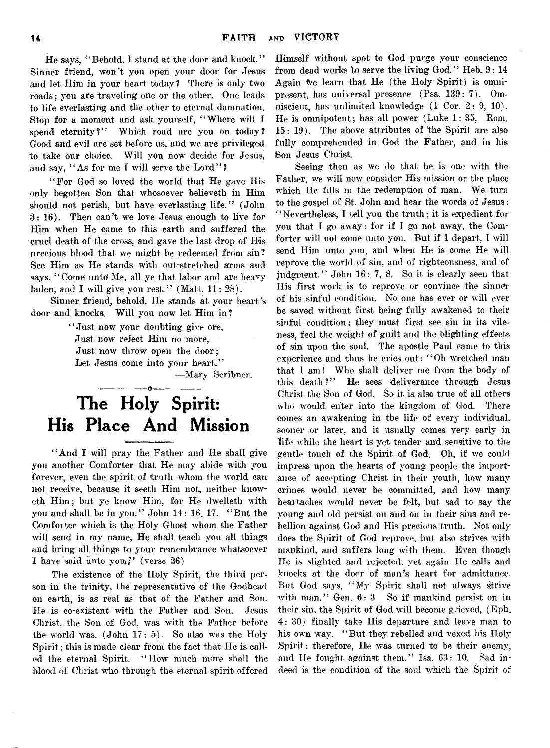He says, "Behold, I stand at the door and knock." Sinner friend, won't you open your door for Jesus and let Him in your heart today ? There is only two roads; you are traveling one or the other. One leads to life everlasting and the other to eternal damnation. Stop for a moment and ask yourself, " Where will I spend eternity?" Which road are you on today? Good and evil are set before us, and we are privileged to take our choice. Will you now decide for Jesus, and say, "As for me I will serve the Lord"?

"For God so loved the world that He gave His only begotten Son that whosoever believeth in Him should not perish, but have everlasting life." (John 3: 16). Then can't we love Jesus enough to live for Him when He came to this earth and suffered the cruel death of the cross, and gave the last drop of His precious blood that we might be redeemed from sin? See Him as He stands with out-stretched arms and says, "Come unto Me, all ye that labor and are heavy laden, and I will give you rest." (Matt. 11: 28).

Sinner friend, behold, He stands at your heart's door and knocks, Will you now let Him in?

> " Just now your doubting give ore, Just now reject Him no more, Just now throw open the door; Let Jesus come into your heart."

—Mary Scribner.

# The Holy Spirit: His Place And Mission

" And I will pray the Father and He shall give you another Comforter that He may abide with you forever, even the spirit of truth whom the world can not receive, because it seeth Him not, neither knoweth Him; but ye know Him, for He dwelleth with you and shall be in you." John 14: 16, 17. " But the Comforter which is the Holy Ghost whom the Father will send in my name, He shall teach you all things and bring all things to your remembrance whatsoever I have said unto you," (verse 26)

The existence of the Holy Spirit, the third person in the trinity, the representative of the Godhead on earth, is as real as that of the Father and Son. He is co-existent with the Father and Son. Jesus Christ, the Son of God, was with the Father before the world was.  $(John 17: 5)$ . So also was the Holy Spirit; this is made clear from the fact that He is called the eternal Spirit. " How much more shall the blood of Christ who through the eternal spirit offered

Himself without spot to God purge your conscience from dead works to serve the living God." Heb. 9: 14 Again We learn that He (the Holy Spirit) is omnipresent, has universal presence. (Psa. 139: 7). Omniscient, has unlimited knowledge (1 Cor. 2: 9, 10). He is omnipotent; has all power (Luke  $1: 35$ , Rom. 15: 19). The above attributes of the Spirit are also fully comprehended in God the Father, and in his Son Jesus Christ

Seeing then as we do that he is one with the Father, *we will* now consider His mission or the place which He fills in the redemption of man. We turn to the gospel of St. John and hear the words of Jesus: " Nevertheless, I tell you the truth; it is expedient for you that I go away: for if I go not away, the Comforter will not come unto you. But if I depart, I will send Him unto you, and when He is come He will reprove the world of sin, and of righteousness, and of judgment." John 16: 7, 8. So it is clearly seen that His first work is to reprove or convince the sinner of his sinful condition. No one has ever or will ever be saved without first being fully awakened to their sinful condition; they must first see sin in its vileness, feel the weight of guilt and the blighting effects of sin upon the soul. The apostle Paul came to this experience and thus he cries out: "Oh wretched man that I am ! Who shall deliver me from the body of this death?" He sees deliverance through Jesus Christ the Son of God. So it is also true of all others who would enter into the kingdom of God. There comes an awakening in the life of every individual, sooner or later, and it usually comes very early in life while the heart is yet tender and sensitive to the gentle touch of the Spirit of God. Oh, if we could impress upon the hearts of young people the importance of accepting Christ in their youth, how many crimes would never be committed, and how many heartaches would never be felt, but sad to say the young and old persist on and on in their sins and rebellion against God and His precious truth. Not only does the Spirit of God reprove, but also strives with mankind, and suffers long with them. Even though He is slighted and rejected, yet again He calls and knocks at the door of man's heart for admittance. But God says, " My Spirit shall not always strive with man." Gen. 6: 3 So if mankind persist on in their sin, the Spirit of God will become grieved, (Eph. 4: 30) finally take His departure and leave man to his own way. "But they rebelled and vexed his Holy  $Spirit:$  therefore. He was turned to be their enemy, and He fought against them." Isa. 63: 10. Sad indeed is the condition of the soul which the Spirit of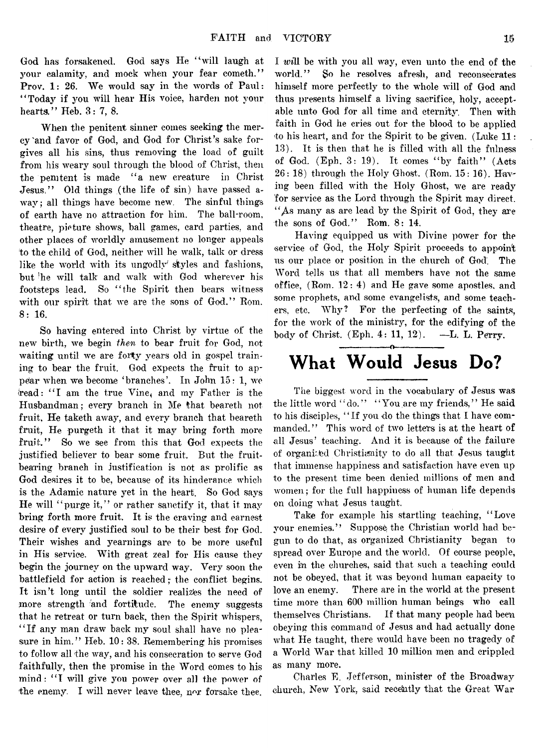God has forsakened. God says He "will laugh at your calamity, and mock when your fear cometh." Prov. 1: 26. We would say in the words of Paul: " Today if you will hear His voice, harden not your hearts." Heb. 3: 7, 8.

When the penitent sinner comes seeking the mercy 'and favor of God, and God for Christ's sake forgives all his sins, thus removing the load of guilt from his weary soul through the blood of Christ, then the penitent is made "a new creature in Christ Jesus," Old things (the life of sin) have passed away; all things have become new. The sinful things of earth have no attraction for him. The ball-room, theatre, picture shows, ball games, card parties, and other places of worldly amusement no longer appeals to the child of God, neither will he walk, talk or dress like the world with its ungodly styles and fashions, but 'he will talk and walk with God wherever his footsteps lead. So " the Spirit then bears witness with our spirit that we are the sons of God." Rom. 8: 16.

So having entered into Christ by virtue of the new birth, we begin *then* to bear fruit for God, not waiting until we are forty years old in gospel training to bear the fruit. God expects the fruit to appear when we become ' branches'. In John 15: 1, we (read: " I am the true Vine< and my Father is the Husbandman; every branch in Me that beareth not fruit, He taketh away, and every branch that beareth fruit, He purgeth it that it may bring forth more fruit." So we see from this that God expects the justified believer to bear some fruit. But the fruitbearing branch in justification is not as prolific as God desires it to be, because of its hinderance which is the Adamic nature yet in the heart. So God says He will "purge it," or rather sanctify it, that it may bring forth more fruit. It is the craving and earnest desire of every justified soul to be their best for God. Their wishes and yearnings are to be more useful in His service. With great zeal for His cause they begin the journey on the upward way. Very soon the battlefield for action is reached; the conflict begins. It isn't long until the soldier realizes the need of more strength and fortitude. The enemy suggests that he retreat or turn back, then the Spirit whispers, "If any man draw back my soul shall have no pleasure in him." Heb. 10: 38. Remembering his promises to follow all the way, and his consecration to serve God faithfully, then the promise in the Word comes to his mind: " I will give you power over all the power of the enemy. I will never leave thee, nor forsake thee.

I *will* be with you all way, even unto the end of the world." So he resolves afresh, and reconsecrates himself more perfectly to the whole will of God and thus presents himself a living sacrifice, holy, acceptable unto God for all time and eternity. Then with faith in God he cries out for the blood to be applied to his heart, and for the Spirit to be given. (Luke 11: 13). It is then that he is filled with all the fulness of God.  $(Eph. 3: 19)$ . It comes "by faith" (Acts  $26: 18)$  through the Holy Ghost. (Rom.  $15: 16$ ). Having been filled with the Holy Ghost, we are ready for service as the Lord through the Spirit may direct. " As many as are lead by the Spirit of God, they are the sons of God." Rom. 8: 14.

Having equipped us with Divine power for the service of God, the Holy Spirit proceeds to appoint us our place or position in the church of God. The Word tells us that all members have not the same office, (Rom. 12: 4) and He gave some apostles, and some prophets, and some evangelists, and some teachers, etc. Why? For the perfecting of the saints, for the work of the ministry, for the edifying of the body of Christ. (Eph. 4: 11, 12). —L. L. Perry.

## -----------------o----------------- What Would Jesus Do?

The biggest word in the vocabulary of Jesus was the little word "do." "You are my friends," He said to his disciples, " If you do the things that I have commanded." This word of two letters is at the heart of all Jesus' teaching. And it is because of the failure of organized Christianity to do all that Jesus taught that immense happiness and satisfaction have even up to the present time been denied millions of men and women; for the full happiness of human life depends on doing what Jesus taught.

Take for example his startling teaching, " Love your enemies." Suppose the Christian world had begun to do that, as organized Christianity began to spread over Europe and the world. Of course people, even in the churches, said that such a teaching could not be obeyed, that it was beyond human capacity to love an enemy. There are in the world at the present time more than 600 million human beings who call themselves Christians. If that many people had been obeying this command of Jesus and had actually done what He taught, there would have been no tragedy of a World War that killed 10 million men and crippled as many more.

Charles E. Jefferson, minister of the Broadway church, New York, said recently that the Great War